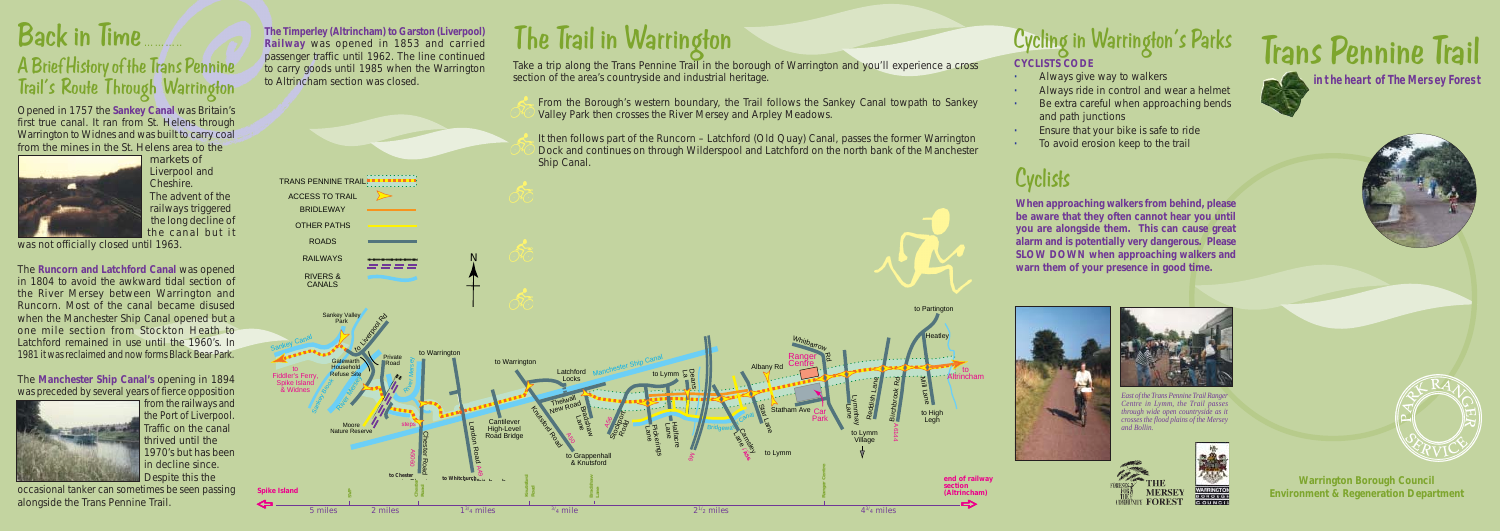